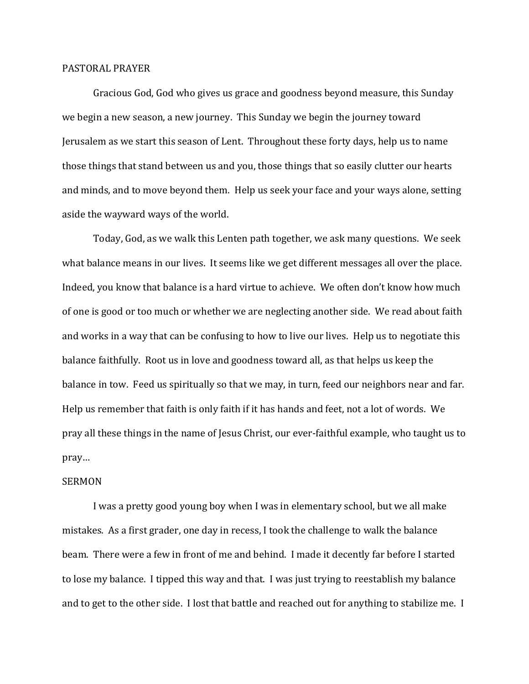## PASTORAL PRAYER

 Gracious God, God who gives us grace and goodness beyond measure, this Sunday we begin a new season, a new journey. This Sunday we begin the journey toward Jerusalem as we start this season of Lent. Throughout these forty days, help us to name those things that stand between us and you, those things that so easily clutter our hearts and minds, and to move beyond them. Help us seek your face and your ways alone, setting aside the wayward ways of the world.

 Today, God, as we walk this Lenten path together, we ask many questions. We seek what balance means in our lives. It seems like we get different messages all over the place. Indeed, you know that balance is a hard virtue to achieve. We often don't know how much of one is good or too much or whether we are neglecting another side. We read about faith and works in a way that can be confusing to how to live our lives. Help us to negotiate this balance faithfully. Root us in love and goodness toward all, as that helps us keep the balance in tow. Feed us spiritually so that we may, in turn, feed our neighbors near and far. Help us remember that faith is only faith if it has hands and feet, not a lot of words. We pray all these things in the name of Jesus Christ, our ever-faithful example, who taught us to pray…

## SERMON

 I was a pretty good young boy when I was in elementary school, but we all make mistakes. As a first grader, one day in recess, I took the challenge to walk the balance beam. There were a few in front of me and behind. I made it decently far before I started to lose my balance. I tipped this way and that. I was just trying to reestablish my balance and to get to the other side. I lost that battle and reached out for anything to stabilize me. I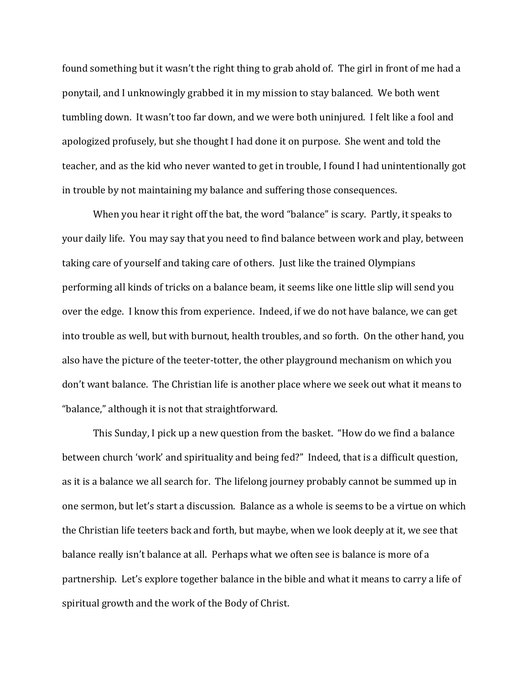found something but it wasn't the right thing to grab ahold of. The girl in front of me had a ponytail, and I unknowingly grabbed it in my mission to stay balanced. We both went tumbling down. It wasn't too far down, and we were both uninjured. I felt like a fool and apologized profusely, but she thought I had done it on purpose. She went and told the teacher, and as the kid who never wanted to get in trouble, I found I had unintentionally got in trouble by not maintaining my balance and suffering those consequences.

 When you hear it right off the bat, the word "balance" is scary. Partly, it speaks to your daily life. You may say that you need to find balance between work and play, between taking care of yourself and taking care of others. Just like the trained Olympians performing all kinds of tricks on a balance beam, it seems like one little slip will send you over the edge. I know this from experience. Indeed, if we do not have balance, we can get into trouble as well, but with burnout, health troubles, and so forth. On the other hand, you also have the picture of the teeter-totter, the other playground mechanism on which you don't want balance. The Christian life is another place where we seek out what it means to "balance," although it is not that straightforward.

This Sunday, I pick up a new question from the basket. "How do we find a balance between church 'work' and spirituality and being fed?" Indeed, that is a difficult question, as it is a balance we all search for. The lifelong journey probably cannot be summed up in one sermon, but let's start a discussion. Balance as a whole is seems to be a virtue on which the Christian life teeters back and forth, but maybe, when we look deeply at it, we see that balance really isn't balance at all. Perhaps what we often see is balance is more of a partnership. Let's explore together balance in the bible and what it means to carry a life of spiritual growth and the work of the Body of Christ.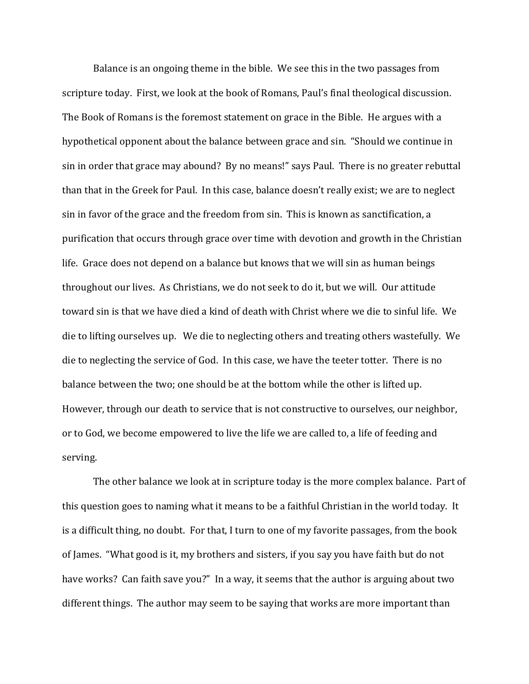Balance is an ongoing theme in the bible. We see this in the two passages from scripture today. First, we look at the book of Romans, Paul's final theological discussion. The Book of Romans is the foremost statement on grace in the Bible. He argues with a hypothetical opponent about the balance between grace and sin. "Should we continue in sin in order that grace may abound? By no means!" says Paul. There is no greater rebuttal than that in the Greek for Paul. In this case, balance doesn't really exist; we are to neglect sin in favor of the grace and the freedom from sin. This is known as sanctification, a purification that occurs through grace over time with devotion and growth in the Christian life. Grace does not depend on a balance but knows that we will sin as human beings throughout our lives. As Christians, we do not seek to do it, but we will. Our attitude toward sin is that we have died a kind of death with Christ where we die to sinful life. We die to lifting ourselves up. We die to neglecting others and treating others wastefully. We die to neglecting the service of God. In this case, we have the teeter totter. There is no balance between the two; one should be at the bottom while the other is lifted up. However, through our death to service that is not constructive to ourselves, our neighbor, or to God, we become empowered to live the life we are called to, a life of feeding and serving.

 The other balance we look at in scripture today is the more complex balance. Part of this question goes to naming what it means to be a faithful Christian in the world today. It is a difficult thing, no doubt. For that, I turn to one of my favorite passages, from the book of James. "What good is it, my brothers and sisters, if you say you have faith but do not have works? Can faith save you?" In a way, it seems that the author is arguing about two different things. The author may seem to be saying that works are more important than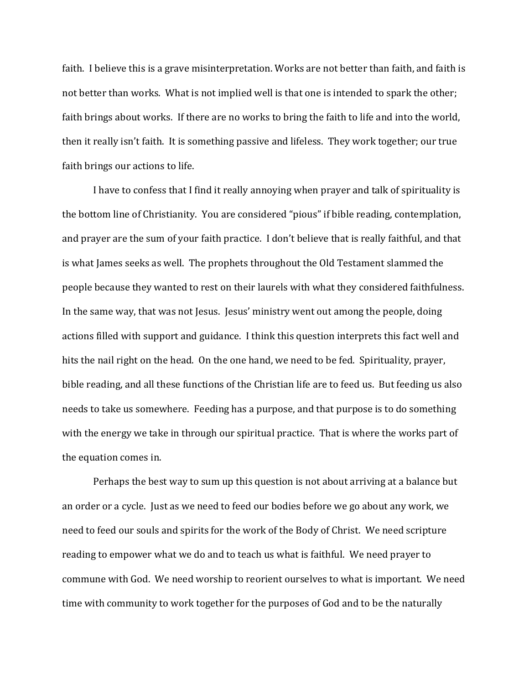faith. I believe this is a grave misinterpretation. Works are not better than faith, and faith is not better than works. What is not implied well is that one is intended to spark the other; faith brings about works. If there are no works to bring the faith to life and into the world, then it really isn't faith. It is something passive and lifeless. They work together; our true faith brings our actions to life.

 I have to confess that I find it really annoying when prayer and talk of spirituality is the bottom line of Christianity. You are considered "pious" if bible reading, contemplation, and prayer are the sum of your faith practice. I don't believe that is really faithful, and that is what James seeks as well. The prophets throughout the Old Testament slammed the people because they wanted to rest on their laurels with what they considered faithfulness. In the same way, that was not Jesus. Jesus' ministry went out among the people, doing actions filled with support and guidance. I think this question interprets this fact well and hits the nail right on the head. On the one hand, we need to be fed. Spirituality, prayer, bible reading, and all these functions of the Christian life are to feed us. But feeding us also needs to take us somewhere. Feeding has a purpose, and that purpose is to do something with the energy we take in through our spiritual practice. That is where the works part of the equation comes in.

 Perhaps the best way to sum up this question is not about arriving at a balance but an order or a cycle. Just as we need to feed our bodies before we go about any work, we need to feed our souls and spirits for the work of the Body of Christ. We need scripture reading to empower what we do and to teach us what is faithful. We need prayer to commune with God. We need worship to reorient ourselves to what is important. We need time with community to work together for the purposes of God and to be the naturally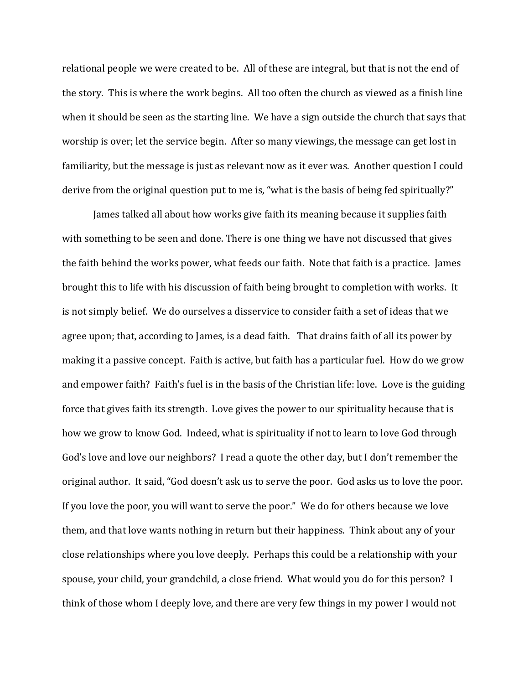relational people we were created to be. All of these are integral, but that is not the end of the story. This is where the work begins. All too often the church as viewed as a finish line when it should be seen as the starting line. We have a sign outside the church that says that worship is over; let the service begin. After so many viewings, the message can get lost in familiarity, but the message is just as relevant now as it ever was. Another question I could derive from the original question put to me is, "what is the basis of being fed spiritually?"

 James talked all about how works give faith its meaning because it supplies faith with something to be seen and done. There is one thing we have not discussed that gives the faith behind the works power, what feeds our faith. Note that faith is a practice. James brought this to life with his discussion of faith being brought to completion with works. It is not simply belief. We do ourselves a disservice to consider faith a set of ideas that we agree upon; that, according to James, is a dead faith. That drains faith of all its power by making it a passive concept. Faith is active, but faith has a particular fuel. How do we grow and empower faith? Faith's fuel is in the basis of the Christian life: love. Love is the guiding force that gives faith its strength. Love gives the power to our spirituality because that is how we grow to know God. Indeed, what is spirituality if not to learn to love God through God's love and love our neighbors? I read a quote the other day, but I don't remember the original author. It said, "God doesn't ask us to serve the poor. God asks us to love the poor. If you love the poor, you will want to serve the poor." We do for others because we love them, and that love wants nothing in return but their happiness. Think about any of your close relationships where you love deeply. Perhaps this could be a relationship with your spouse, your child, your grandchild, a close friend. What would you do for this person? I think of those whom I deeply love, and there are very few things in my power I would not